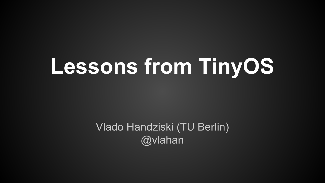# **Lessons from TinyOS**

Vlado Handziski (TU Berlin) @vlahan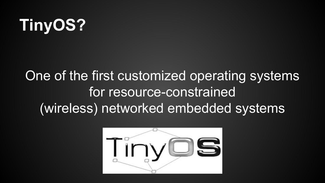## **TinyOS?**

### One of the first customized operating systems for resource-constrained (wireless) networked embedded systems

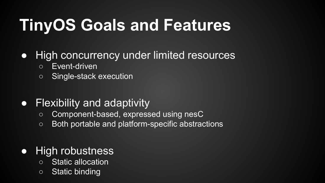## **TinyOS Goals and Features**

### ● High concurrency under limited resources

- Event-driven
- Single-stack execution

### ● Flexibility and adaptivity

- Component-based, expressed using nesC
- Both portable and platform-specific abstractions

### ● High robustness

- Static allocation
- Static binding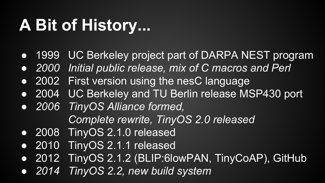### **A Bit of History...**

- 1999 UC Berkeley project part of DARPA NEST program
- *● 2000 Initial public release, mix of C macros and Perl*
- 2002 First version using the nesC language
- 2004 UC Berkeley and TU Berlin release MSP430 port
- *● 2006 TinyOS Alliance formed, Complete rewrite, TinyOS 2.0 released*
- 2008 TinyOS 2.1.0 released
- 2010 TinyOS 2.1.1 released
- 2012 TinyOS 2.1.2 (BLIP:6lowPAN, TinyCoAP), GitHub
- *● 2014 TinyOS 2.2, new build system*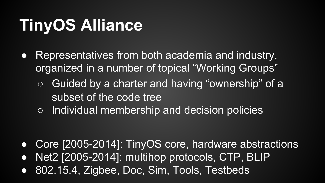## **TinyOS Alliance**

- Representatives from both academia and industry, organized in a number of topical "Working Groups"
	- Guided by a charter and having "ownership" of a subset of the code tree
	- Individual membership and decision policies

- Core [2005-2014]: TinyOS core, hardware abstractions
- Net2 [2005-2014]: multihop protocols, CTP, BLIP
- 802.15.4, Zigbee, Doc, Sim, Tools, Testbeds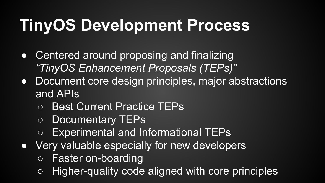## **TinyOS Development Process**

- Centered around proposing and finalizing *"TinyOS Enhancement Proposals (TEPs)"*
- Document core design principles, major abstractions and APIs
	- Best Current Practice TEPs
	- Documentary TEPs
	- Experimental and Informational TEPs
- Very valuable especially for new developers
	- Faster on-boarding
	- Higher-quality code aligned with core principles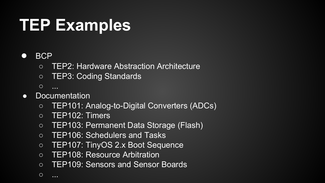### **TEP Examples**

#### ● BCP

- TEP2: Hardware Abstraction Architecture
- TEP3: Coding Standards
- ...
- Documentation
	- TEP101: Analog-to-Digital Converters (ADCs)
	- TEP102: Timers
	- TEP103: Permanent Data Storage (Flash)
	- TEP106: Schedulers and Tasks
	- TEP107: TinyOS 2.x Boot Sequence
	- TEP108: Resource Arbitration
	- TEP109: Sensors and Sensor Boards

○ ...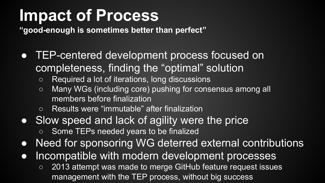### **Impact of Process**

**"good-enough is sometimes better than perfect"**

- TEP-centered development process focused on completeness, finding the "optimal" solution
	- Required a lot of iterations, long discussions
	- Many WGs (including core) pushing for consensus among all members before finalization
	- Results were "immutable" after finalization
- Slow speed and lack of agility were the price
	- Some TEPs needed years to be finalized
- Need for sponsoring WG deterred external contributions
- Incompatible with modern development processes
	- 2013 attempt was made to merge GitHub feature request issues management with the TEP process, without big success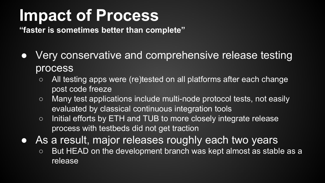### **Impact of Process**

**"faster is sometimes better than complete"**

- Very conservative and comprehensive release testing process
	- All testing apps were (re)tested on all platforms after each change post code freeze
	- Many test applications include multi-node protocol tests, not easily evaluated by classical continuous integration tools
	- Initial efforts by ETH and TUB to more closely integrate release process with testbeds did not get traction
- As a result, major releases roughly each two years
	- $\circ$  But HEAD on the development branch was kept almost as stable as a release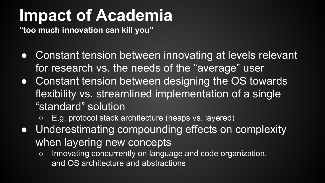### **Impact of Academia**

**"too much innovation can kill you"**

- Constant tension between innovating at levels relevant for research vs. the needs of the "average" user
- Constant tension between designing the OS towards flexibility vs. streamlined implementation of a single "standard" solution
	- E.g. protocol stack architecture (heaps vs. layered)
- Underestimating compounding effects on complexity when layering new concepts
	- Innovating concurrently on language and code organization, and OS architecture and abstractions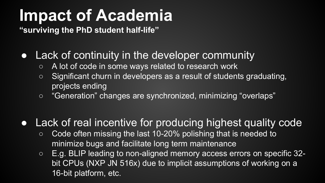### **Impact of Academia**

**"surviving the PhD student half-life"**

### • Lack of continuity in the developer community

- A lot of code in some ways related to research work
- Significant churn in developers as a result of students graduating, projects ending
- "Generation" changes are synchronized, minimizing "overlaps"

### • Lack of real incentive for producing highest quality code

- Code often missing the last 10-20% polishing that is needed to minimize bugs and facilitate long term maintenance
- E.g. BLIP leading to non-aligned memory access errors on specific 32 bit CPUs (NXP JN 516x) due to implicit assumptions of working on a 16-bit platform, etc.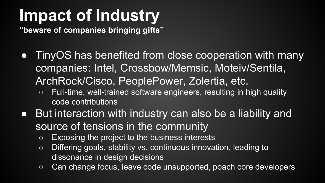## **Impact of Industry**

**"beware of companies bringing gifts"**

- TinyOS has benefited from close cooperation with many companies: Intel, Crossbow/Memsic, Moteiv/Sentila, ArchRock/Cisco, PeoplePower, Zolertia, etc.
	- Full-time, well-trained software engineers, resulting in high quality code contributions
- But interaction with industry can also be a liability and source of tensions in the community
	- $\circ$  Exposing the project to the business interests
	- Differing goals, stability vs. continuous innovation, leading to dissonance in design decisions
	- Can change focus, leave code unsupported, poach core developers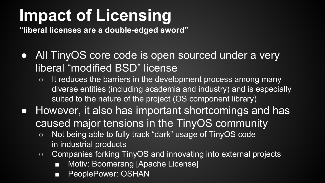## **Impact of Licensing**

**"liberal licenses are a double-edged sword"**

- All TinyOS core code is open sourced under a very liberal "modified BSD" license
	- $\circ$  It reduces the barriers in the development process among many diverse entities (including academia and industry) and is especially suited to the nature of the project (OS component library)
- However, it also has important shortcomings and has caused major tensions in the TinyOS community
	- Not being able to fully track "dark" usage of TinyOS code in industrial products
	- Companies forking TinyOS and innovating into external projects
		- Motiv: Boomerang [Apache License]
		- PeoplePower: OSHAN